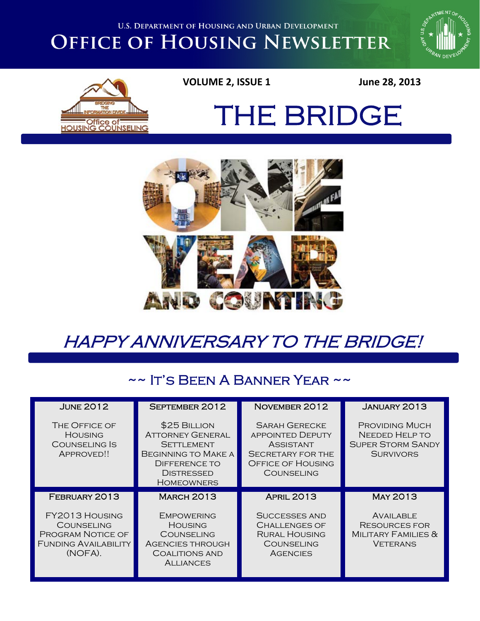**U.S. DEPARTMENT OF HOUSING AND URBAN DEVELOPMENT** 

## **OFFICE OF HOUSING NEWSLETTER**





### **VOLUME 2, ISSUE 1 June 28, 2013**

THE BRIDGE



### HAPPY ANNIVERSARY TO THE BRIDGE!

### ~~ It's Been A Banner Year ~~

| <b>JUNE 2012</b>                                                                            | SEPTEMBER 2012                                                                                                                                        | NOVEMBER 2012                                                                                                                      | <b>JANUARY 2013</b>                                                                            |
|---------------------------------------------------------------------------------------------|-------------------------------------------------------------------------------------------------------------------------------------------------------|------------------------------------------------------------------------------------------------------------------------------------|------------------------------------------------------------------------------------------------|
| THE OFFICE OF<br><b>HOUSING</b><br>COUNSELING IS<br>APPROVED!!                              | \$25 BILLION<br><b>ATTORNEY GENERAL</b><br><b>SETTLEMENT</b><br><b>BEGINNING TO MAKE A</b><br>DIFFERENCE TO<br><b>DISTRESSED</b><br><b>HOMEOWNERS</b> | <b>SARAH GERECKE</b><br><b>APPOINTED DEPUTY</b><br><b>ASSISTANT</b><br>SECRETARY FOR THE<br><b>OFFICE OF HOUSING</b><br>COUNSELING | <b>PROVIDING MUCH</b><br><b>NEEDED HELP TO</b><br><b>SUPER STORM SANDY</b><br><b>SURVIVORS</b> |
| FEBRUARY 2013                                                                               | <b>MARCH 2013</b>                                                                                                                                     | <b>APRIL 2013</b>                                                                                                                  | <b>MAY 2013</b>                                                                                |
| FY2013 HOUSING<br>COUNSELING<br>PROGRAM NOTICE OF<br><b>FUNDING AVAILABILITY</b><br>(NOFA). | <b>EMPOWERING</b><br><b>HOUSING</b><br><b>COUNSELING</b><br><b>AGENCIES THROUGH</b><br><b>COALITIONS AND</b><br><b>ALLIANCES</b>                      | SUCCESSES AND<br>CHALLENGES OF<br>RURAL HOUSING<br>COUNSELING<br><b>AGENCIES</b>                                                   | AVAILABLE<br>RESOURCES FOR<br>MILITARY FAMILIES &<br><b>VETERANS</b>                           |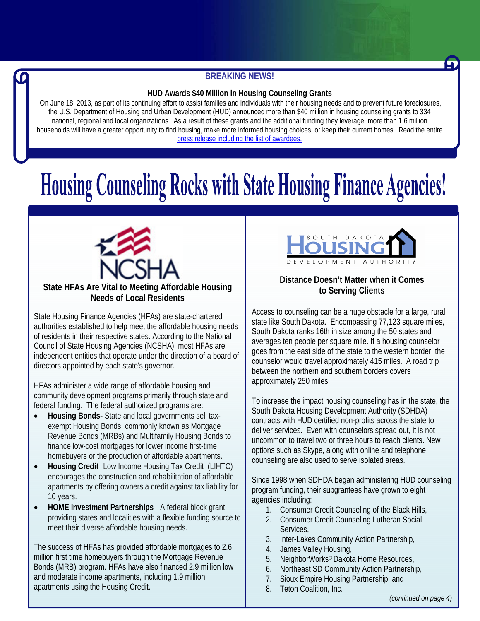### **BREAKING NEWS!**

#### **HUD Awards \$40 Million in Housing Counseling Grants**

On June 18, 2013, as part of its continuing effort to assist families and individuals with their housing needs and to prevent future foreclosures, the U.S. Department of Housing and Urban Development (HUD) announced more than \$40 million in housing counseling grants to 334 national, regional and local organizations. As a result of these grants and the additional funding they leverage, more than 1.6 million households will have a greater opportunity to find housing, make more informed housing choices, or keep their current homes. Read the entire [press release including the list of awardees.](http://portal.hud.gov/hudportal/HUD?src=/press/press_releases_media_advisories/2013/HUDNo.13-094)

# **Housing Counseling Rocks with State Housing Finance Agencies!**



### **State HFAs Are Vital to Meeting Affordable Housing Needs of Local Residents**

State Housing Finance Agencies (HFAs) are state-chartered authorities established to help meet the affordable housing needs of residents in their respective states. According to the National Council of State Housing Agencies (NCSHA), most HFAs are independent entities that operate under the direction of a board of directors appointed by each state's governor.

HFAs administer a wide range of affordable housing and community development programs primarily through state and federal funding. The federal authorized programs are:

- **[Housing Bonds](http://www.ncsha.org/advocacy-issues/home)**‐ State and local governments sell taxexempt Housing Bonds, commonly known as Mortgage Revenue Bonds (MRBs) and Multifamily Housing Bonds to finance low-cost mortgages for lower income first-time homebuyers or the production of affordable apartments.
- **Housing Credit**‐ Low Income Housing Tax Credit (LIHTC) encourages the construction and rehabilitation of affordable apartments by offering owners a credit against tax liability for 10 years.
- **HOME Investment Partnerships** ‐ A federal block grant providing states and localities with a flexible funding source to meet their diverse affordable housing needs.

The success of HFAs has provided affordable mortgages to 2.6 million first time homebuyers through the Mortgage Revenue Bonds (MRB) program. HFAs have also financed 2.9 million low and moderate income apartments, including 1.9 million apartments using the Housing Credit.



### **Distance Doesn't Matter when it Comes to Serving Clients**

Access to counseling can be a huge obstacle for a large, rural state like South Dakota. Encompassing 77,123 square miles, South Dakota ranks 16th in size among the 50 states and averages ten people per square mile. If a housing counselor goes from the east side of the state to the western border, the counselor would travel approximately 415 miles. A road trip between the northern and southern borders covers approximately 250 miles.

To increase the impact housing counseling has in the state, the South Dakota Housing Development Authority (SDHDA) contracts with HUD certified non-profits across the state to deliver services. Even with counselors spread out, it is not uncommon to travel two or three hours to reach clients. New options such as Skype, along with online and telephone counseling are also used to serve isolated areas.

Since 1998 when SDHDA began administering HUD counseling program funding, their subgrantees have grown to eight agencies including:

- 1. Consumer Credit Counseling of the Black Hills,
- 2. Consumer Credit Counseling Lutheran Social Services,
- 3. Inter-Lakes Community Action Partnership,
- 4. James Valley Housing,
- 5. NeighborWorks® Dakota Home Resources,
- 6. Northeast SD Community Action Partnership,
- 7. Sioux Empire Housing Partnership, and
- 8. Teton Coalition, Inc.

*(continued on page 4)*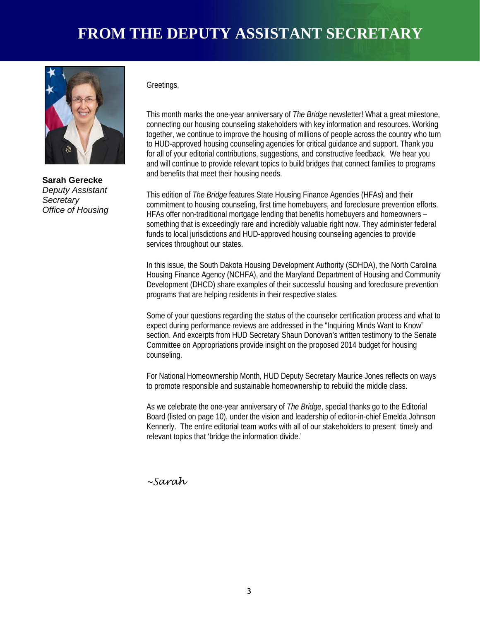

**Sarah Gerecke**  *Deputy Assistant Secretary Office of Housing* 

Greetings,

This month marks the one-year anniversary of *The Bridge* newsletter! What a great milestone, connecting our housing counseling stakeholders with key information and resources. Working together, we continue to improve the housing of millions of people across the country who turn to HUD-approved housing counseling agencies for critical guidance and support. Thank you for all of your editorial contributions, suggestions, and constructive feedback. We hear you and will continue to provide relevant topics to build bridges that connect families to programs and benefits that meet their housing needs.

This edition of *The Bridge* features State Housing Finance Agencies (HFAs) and their commitment to housing counseling, first time homebuyers, and foreclosure prevention efforts. HFAs offer non-traditional mortgage lending that benefits homebuyers and homeowners – something that is exceedingly rare and incredibly valuable right now. They administer federal funds to local jurisdictions and HUD-approved housing counseling agencies to provide services throughout our states.

In this issue, the South Dakota Housing Development Authority (SDHDA), the North Carolina Housing Finance Agency (NCHFA), and the Maryland Department of Housing and Community Development (DHCD) share examples of their successful housing and foreclosure prevention programs that are helping residents in their respective states.

Some of your questions regarding the status of the counselor certification process and what to expect during performance reviews are addressed in the "Inquiring Minds Want to Know" section. And excerpts from HUD Secretary Shaun Donovan's written testimony to the Senate Committee on Appropriations provide insight on the proposed 2014 budget for housing counseling.

For National Homeownership Month, HUD Deputy Secretary Maurice Jones reflects on ways to promote responsible and sustainable homeownership to rebuild the middle class.

As we celebrate the one-year anniversary of *The Bridge*, special thanks go to the Editorial Board (listed on page 10), under the vision and leadership of editor-in-chief Emelda Johnson Kennerly. The entire editorial team works with all of our stakeholders to present timely and relevant topics that 'bridge the information divide.'

*~Sarah*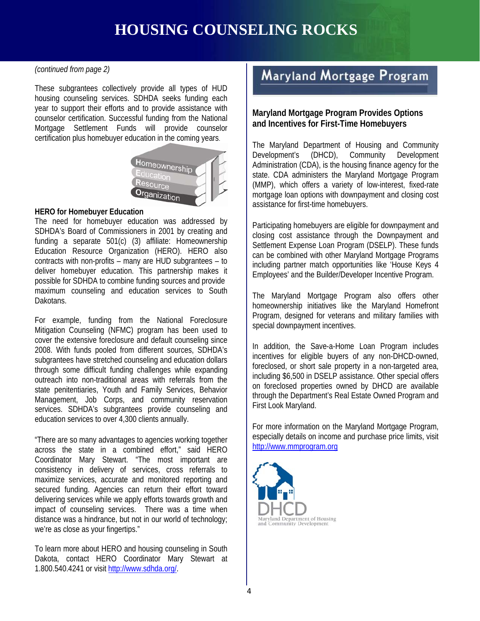### **HOUSING COUNSELING ROCKS**

#### *(continued from page 2)*

These subgrantees collectively provide all types of HUD housing counseling services. SDHDA seeks funding each year to support their efforts and to provide assistance with counselor certification. Successful funding from the National Mortgage Settlement Funds will provide counselor certification plus homebuyer education in the coming years.



#### **HERO for Homebuyer Education**

The need for homebuyer education was addressed by SDHDA's Board of Commissioners in 2001 by creating and funding a separate 501(c) (3) affiliate: Homeownership Education Resource Organization (HERO). HERO also contracts with non-profits – many are HUD subgrantees – to deliver homebuyer education. This partnership makes it possible for SDHDA to combine funding sources and provide maximum counseling and education services to South Dakotans.

For example, funding from the National Foreclosure Mitigation Counseling (NFMC) program has been used to cover the extensive foreclosure and default counseling since 2008. With funds pooled from different sources, SDHDA's subgrantees have stretched counseling and education dollars through some difficult funding challenges while expanding outreach into non-traditional areas with referrals from the state penitentiaries, Youth and Family Services, Behavior Management, Job Corps, and community reservation services. SDHDA's subgrantees provide counseling and education services to over 4,300 clients annually.

"There are so many advantages to agencies working together across the state in a combined effort," said HERO Coordinator Mary Stewart. "The most important are consistency in delivery of services, cross referrals to maximize services, accurate and monitored reporting and secured funding. Agencies can return their effort toward delivering services while we apply efforts towards growth and impact of counseling services. There was a time when distance was a hindrance, but not in our world of technology; we're as close as your fingertips."

To learn more about HERO and housing counseling in South Dakota, contact HERO Coordinator Mary Stewart at 1.800.540.4241 or visit http://www.sdhda.org/.

### Maryland Mortgage Program

#### **Maryland Mortgage Program Provides Options and Incentives for First-Time Homebuyers**

The Maryland Department of Housing and Community Development's (DHCD), Community Development Administration (CDA), is the housing finance agency for the state. CDA administers the Maryland Mortgage Program (MMP), which offers a variety of low-interest, fixed-rate mortgage loan options with downpayment and closing cost assistance for first-time homebuyers.

Participating homebuyers are eligible for downpayment and closing cost assistance through the Downpayment and Settlement Expense Loan Program (DSELP). These funds can be combined with other Maryland Mortgage Programs including partner match opportunities like 'House Keys 4 Employees' and the Builder/Developer Incentive Program.

The Maryland Mortgage Program also offers other homeownership initiatives like the Maryland Homefront Program, designed for veterans and military families with special downpayment incentives.

In addition, the Save-a-Home Loan Program includes incentives for eligible buyers of any non-DHCD-owned, foreclosed, or short sale property in a non-targeted area, including \$6,500 in DSELP assistance. Other special offers on foreclosed properties owned by DHCD are available through the Department's Real Estate Owned Program and First Look Maryland.

For more information on the Maryland Mortgage Program, especially details on income and purchase price limits, visit http://www.mmprogram.org

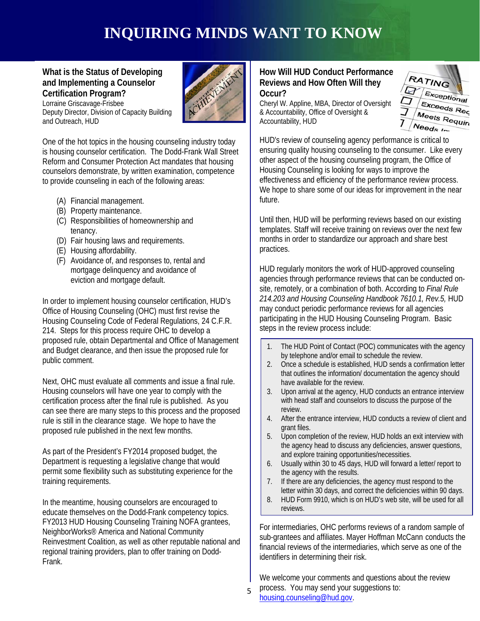### **INQUIRING MINDS WANT TO KNOW**

**What is the Status of Developing and Implementing a Counselor Certification Program?** Lorraine Griscavage-Frisbee Deputy Director, Division of Capacity Building

and Outreach, HUD



One of the hot topics in the housing counseling industry today is housing counselor certification. The Dodd-Frank Wall Street Reform and Consumer Protection Act mandates that housing counselors demonstrate, by written examination, competence to provide counseling in each of the following areas:

- (A) Financial management.
- (B) Property maintenance.
- (C) Responsibilities of homeownership and tenancy.
- (D) Fair housing laws and requirements.
- (E) Housing affordability.
- (F) Avoidance of, and responses to, rental and mortgage delinquency and avoidance of eviction and mortgage default.

In order to implement housing counselor certification, HUD's Office of Housing Counseling (OHC) must first revise the Housing Counseling Code of Federal Regulations, 24 C.F.R. 214. Steps for this process require OHC to develop a proposed rule, obtain Departmental and Office of Management and Budget clearance, and then issue the proposed rule for public comment.

Next, OHC must evaluate all comments and issue a final rule. Housing counselors will have one year to comply with the certification process after the final rule is published. As you can see there are many steps to this process and the proposed rule is still in the clearance stage. We hope to have the proposed rule published in the next few months.

As part of the President's FY2014 proposed budget, the Department is requesting a legislative change that would permit some flexibility such as substituting experience for the training requirements.

In the meantime, housing counselors are encouraged to educate themselves on the Dodd-Frank competency topics. FY2013 HUD Housing Counseling Training NOFA grantees, NeighborWorks® America and National Community Reinvestment Coalition, as well as other reputable national and regional training providers, plan to offer training on Dodd-Frank.

#### **How Will HUD Conduct Performance Reviews and How Often Will they Occur?**

Cheryl W. Appline, MBA, Director of Oversight & Accountability, Office of Oversight & Accountability, HUD



HUD's review of counseling agency performance is critical to ensuring quality housing counseling to the consumer. Like every other aspect of the housing counseling program, the Office of Housing Counseling is looking for ways to improve the effectiveness and efficiency of the performance review process. We hope to share some of our ideas for improvement in the near future.

Until then, HUD will be performing reviews based on our existing templates. Staff will receive training on reviews over the next few months in order to standardize our approach and share best practices.

HUD regularly monitors the work of HUD-approved counseling agencies through performance reviews that can be conducted onsite, remotely, or a combination of both. According to *Final Rule 214.203 and Housing Counseling Handbook 7610.1, Rev.5,* HUD may conduct periodic performance reviews for all agencies participating in the HUD Housing Counseling Program. Basic steps in the review process include:

- 1. The HUD Point of Contact (POC) communicates with the agency by telephone and/or email to schedule the review.
- 2. Once a schedule is established, HUD sends a confirmation letter that outlines the information/ documentation the agency should have available for the review.
- 3. Upon arrival at the agency, HUD conducts an entrance interview with head staff and counselors to discuss the purpose of the review.
- 4. After the entrance interview, HUD conducts a review of client and grant files.
- 5. Upon completion of the review, HUD holds an exit interview with the agency head to discuss any deficiencies, answer questions, and explore training opportunities/necessities.
- 6. Usually within 30 to 45 days, HUD will forward a letter/ report to the agency with the results.
- 7. If there are any deficiencies, the agency must respond to the letter within 30 days, and correct the deficiencies within 90 days.
- 8. HUD Form 9910, which is on HUD's web site, will be used for all reviews.

For intermediaries, OHC performs reviews of a random sample of sub-grantees and affiliates. Mayer Hoffman McCann conducts the financial reviews of the intermediaries, which serve as one of the identifiers in determining their risk.

We welcome your comments and questions about the review process. You may send your suggestions to: housing.counseling@hud.gov.

5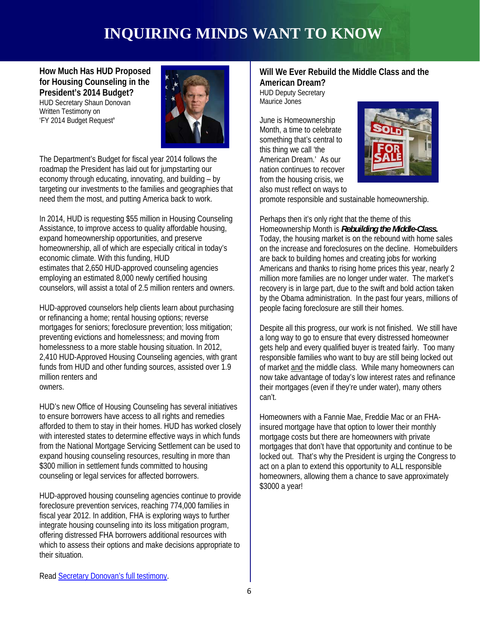### **INQUIRING MINDS WANT TO KNOW**

**How Much Has HUD Proposed for Housing Counseling in the President's 2014 Budget?**  HUD Secretary Shaun Donovan Written Testimony on 'FY 2014 Budget Request**'**



The Department's Budget for fiscal year 2014 follows the roadmap the President has laid out for jumpstarting our economy through educating, innovating, and building – by targeting our investments to the families and geographies that need them the most, and putting America back to work.

In 2014, HUD is requesting \$55 million in Housing Counseling Assistance, to improve access to quality affordable housing, expand homeownership opportunities, and preserve homeownership, all of which are especially critical in today's economic climate. With this funding, HUD estimates that 2,650 HUD-approved counseling agencies employing an estimated 8,000 newly certified housing counselors, will assist a total of 2.5 million renters and owners.

HUD-approved counselors help clients learn about purchasing or refinancing a home; rental housing options; reverse mortgages for seniors; foreclosure prevention; loss mitigation; preventing evictions and homelessness; and moving from homelessness to a more stable housing situation. In 2012, 2,410 HUD-Approved Housing Counseling agencies, with grant funds from HUD and other funding sources, assisted over 1.9 million renters and owners.

HUD's new Office of Housing Counseling has several initiatives to ensure borrowers have access to all rights and remedies afforded to them to stay in their homes. HUD has worked closely with interested states to determine effective ways in which funds from the National Mortgage Servicing Settlement can be used to expand housing counseling resources, resulting in more than \$300 million in settlement funds committed to housing counseling or legal services for affected borrowers.

HUD-approved housing counseling agencies continue to provide foreclosure prevention services, reaching 774,000 families in fiscal year 2012. In addition, FHA is exploring ways to further integrate housing counseling into its loss mitigation program, offering distressed FHA borrowers additional resources with which to assess their options and make decisions appropriate to their situation.

#### **Will We Ever Rebuild the Middle Class and the American Dream?**

HUD Deputy Secretary Maurice Jones

June is Homeownership Month, a time to celebrate something that's central to this thing we call 'the American Dream.' As our nation continues to recover from the housing crisis, we also must reflect on ways to



promote responsible and sustainable homeownership.

Perhaps then it's only right that the theme of this Homeownership Month is *Rebuilding the Middle-Class.*  Today, the housing market is on the rebound with home sales on the increase and foreclosures on the decline. Homebuilders are back to building homes and creating jobs for working Americans and thanks to rising home prices this year, nearly 2 million more families are no longer under water. The market's recovery is in large part, due to the swift and bold action taken by the Obama administration. In the past four years, millions of people facing foreclosure are still their homes.

Despite all this progress, our work is not finished. We still have a long way to go to ensure that every distressed homeowner gets help and every qualified buyer is treated fairly. Too many responsible families who want to buy are still being locked out of market and the middle class. While many homeowners can now take advantage of today's low interest rates and refinance their mortgages (even if they're under water), many others can't.

Homeowners with a Fannie Mae, Freddie Mac or an FHAinsured mortgage have that option to lower their monthly mortgage costs but there are homeowners with private mortgages that don't have that opportunity and continue to be locked out. That's why the President is urging the Congress to act on a plan to extend this opportunity to ALL responsible homeowners, allowing them a chance to save approximately \$3000 a year!

Read Secretary Donovan's full testimony.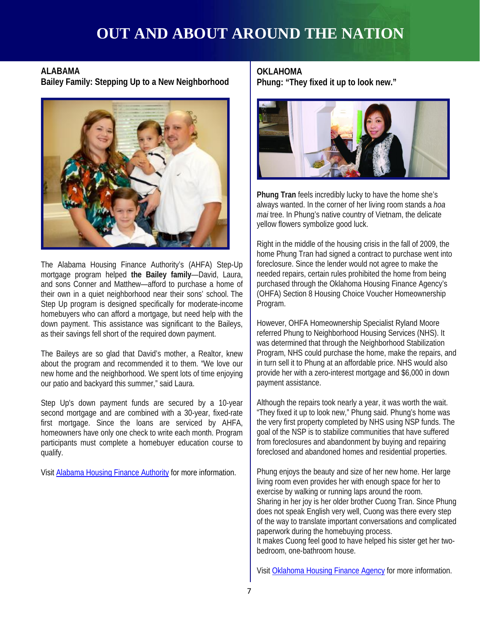### **OUT AND ABOUT AROUND THE NATION**

#### **ALABAMA**

**Bailey Family: Stepping Up to a New Neighborhood** 



The Alabama Housing Finance Authority's (AHFA) Step-Up mortgage program helped **the Bailey family**—David, Laura, and sons Conner and Matthew—afford to purchase a home of their own in a quiet neighborhood near their sons' school. The Step Up program is designed specifically for moderate-income homebuyers who can afford a mortgage, but need help with the down payment. This assistance was significant to the Baileys, as their savings fell short of the required down payment.

The Baileys are so glad that David's mother, a Realtor, knew about the program and recommended it to them. "We love our new home and the neighborhood. We spent lots of time enjoying our patio and backyard this summer," said Laura.

Step Up's down payment funds are secured by a 10-year second mortgage and are combined with a 30-year, fixed-rate first mortgage. Since the loans are serviced by AHFA, homeowners have only one check to write each month. Program participants must complete a homebuyer education course to qualify.

Visit Alabama Housing Finance Authority for more information.

### **OKLAHOMA**

**Phung: "They fixed it up to look new."** 



**Phung Tran** feels incredibly lucky to have the home she's always wanted. In the corner of her living room stands a *hoa mai* tree. In Phung's native country of Vietnam, the delicate yellow flowers symbolize good luck.

Right in the middle of the housing crisis in the fall of 2009, the home Phung Tran had signed a contract to purchase went into foreclosure. Since the lender would not agree to make the needed repairs, certain rules prohibited the home from being purchased through the Oklahoma Housing Finance Agency's (OHFA) Section 8 Housing Choice Voucher Homeownership Program.

However, OHFA Homeownership Specialist Ryland Moore referred Phung to Neighborhood Housing Services (NHS). It was determined that through the Neighborhood Stabilization Program, NHS could purchase the home, make the repairs, and in turn sell it to Phung at an affordable price. NHS would also provide her with a zero-interest mortgage and \$6,000 in down payment assistance.

Although the repairs took nearly a year, it was worth the wait. "They fixed it up to look new," Phung said. Phung's home was the very first property completed by NHS using NSP funds. The goal of the NSP is to stabilize communities that have suffered from foreclosures and abandonment by buying and repairing foreclosed and abandoned homes and residential properties.

Phung enjoys the beauty and size of her new home. Her large living room even provides her with enough space for her to exercise by walking or running laps around the room. Sharing in her joy is her older brother Cuong Tran. Since Phung does not speak English very well, Cuong was there every step of the way to translate important conversations and complicated paperwork during the homebuying process. It makes Cuong feel good to have helped his sister get her twobedroom, one-bathroom house.

Visit Oklahoma Housing Finance Agency for more information.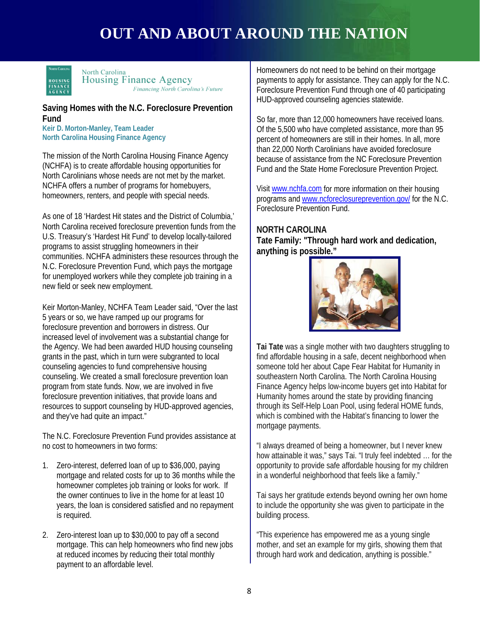### **OUT AND ABOUT AROUND THE NATION**



North Carolina **Housing Finance Agency** Financing North Carolina's Future

#### **Saving Homes with the N.C. Foreclosure Prevention Fund**

**Keir D. Morton-Manley, Team Leader North Carolina Housing Finance Agency** 

The mission of the North Carolina Housing Finance Agency (NCHFA) is to create affordable housing opportunities for North Carolinians whose needs are not met by the market. NCHFA offers a number of programs for homebuyers, homeowners, renters, and people with special needs.

As one of 18 'Hardest Hit states and the District of Columbia,' North Carolina received foreclosure prevention funds from the U.S. Treasury's 'Hardest Hit Fund' to develop locally-tailored programs to assist struggling homeowners in their communities. NCHFA administers these resources through the N.C. Foreclosure Prevention Fund, which pays the mortgage for unemployed workers while they complete job training in a new field or seek new employment.

Keir Morton-Manley, NCHFA Team Leader said, "Over the last 5 years or so, we have ramped up our programs for foreclosure prevention and borrowers in distress. Our increased level of involvement was a substantial change for the Agency. We had been awarded HUD housing counseling grants in the past, which in turn were subgranted to local counseling agencies to fund comprehensive housing counseling. We created a small foreclosure prevention loan program from state funds. Now, we are involved in five foreclosure prevention initiatives, that provide loans and resources to support counseling by HUD-approved agencies, and they've had quite an impact."

The N.C. Foreclosure Prevention Fund provides assistance at no cost to homeowners in two forms:

- 1. Zero-interest, deferred loan of up to \$36,000, paying mortgage and related costs for up to 36 months while the homeowner completes job training or looks for work. If the owner continues to live in the home for at least 10 years, the loan is considered satisfied and no repayment is required.
- 2. Zero-interest loan up to \$30,000 to pay off a second mortgage. This can help homeowners who find new jobs at reduced incomes by reducing their total monthly payment to an affordable level.

Homeowners do not need to be behind on their mortgage payments to apply for assistance. They can apply for the N.C. Foreclosure Prevention Fund through one of 40 participating HUD-approved counseling agencies statewide.

So far, more than 12,000 homeowners have received loans. Of the 5,500 who have completed assistance, more than 95 percent of homeowners are still in their homes. In all, more than 22,000 North Carolinians have avoided foreclosure because of assistance from the NC Foreclosure Prevention Fund and the State Home Foreclosure Prevention Project.

Visit www.nchfa.com for more information on their housing programs and www.ncforeclosureprevention.gov/ for the N.C. Foreclosure Prevention Fund.

#### **NORTH CAROLINA**

**Tate Family: "Through hard work and dedication, anything is possible."** 



**Tai Tate** was a single mother with two daughters struggling to find affordable housing in a safe, decent neighborhood when someone told her about Cape Fear Habitat for Humanity in southeastern North Carolina. The North Carolina Housing Finance Agency helps low-income buyers get into Habitat for Humanity homes around the state by providing financing through its Self-Help Loan Pool, using federal HOME funds, which is combined with the Habitat's financing to lower the mortgage payments.

"I always dreamed of being a homeowner, but I never knew how attainable it was," says Tai. "I truly feel indebted … for the opportunity to provide safe affordable housing for my children in a wonderful neighborhood that feels like a family."

Tai says her gratitude extends beyond owning her own home to include the opportunity she was given to participate in the building process.

"This experience has empowered me as a young single mother, and set an example for my girls, showing them that through hard work and dedication, anything is possible."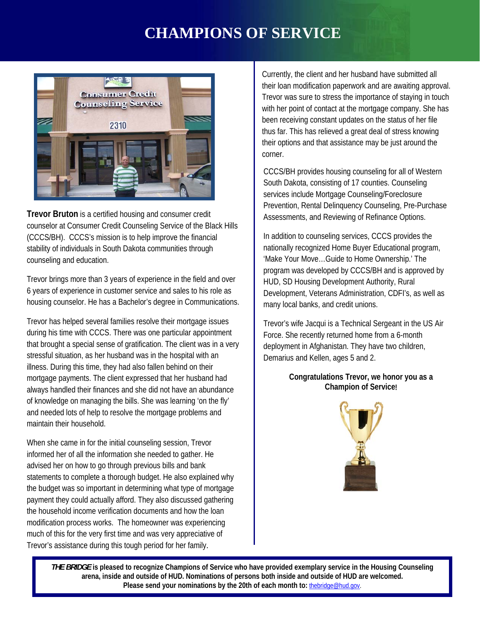### **CHAMPIONS OF SERVICE**



**Trevor Bruton** is a certified housing and consumer credit counselor at Consumer Credit Counseling Service of the Black Hills (CCCS/BH). CCCS's mission is to help improve the financial stability of individuals in South Dakota communities through counseling and education.

Trevor brings more than 3 years of experience in the field and over 6 years of experience in customer service and sales to his role as housing counselor. He has a Bachelor's degree in Communications.

Trevor has helped several families resolve their mortgage issues during his time with CCCS. There was one particular appointment that brought a special sense of gratification. The client was in a very stressful situation, as her husband was in the hospital with an illness. During this time, they had also fallen behind on their mortgage payments. The client expressed that her husband had always handled their finances and she did not have an abundance of knowledge on managing the bills. She was learning 'on the fly' and needed lots of help to resolve the mortgage problems and maintain their household.

When she came in for the initial counseling session, Trevor informed her of all the information she needed to gather. He advised her on how to go through previous bills and bank statements to complete a thorough budget. He also explained why the budget was so important in determining what type of mortgage payment they could actually afford. They also discussed gathering the household income verification documents and how the loan modification process works. The homeowner was experiencing much of this for the very first time and was very appreciative of Trevor's assistance during this tough period for her family.

Currently, the client and her husband have submitted all their loan modification paperwork and are awaiting approval. Trevor was sure to stress the importance of staying in touch with her point of contact at the mortgage company. She has been receiving constant updates on the status of her file thus far. This has relieved a great deal of stress knowing their options and that assistance may be just around the corner.

CCCS/BH provides housing counseling for all of Western South Dakota, consisting of 17 counties. Counseling services include Mortgage Counseling/Foreclosure Prevention, Rental Delinquency Counseling, Pre-Purchase Assessments, and Reviewing of Refinance Options.

In addition to counseling services, CCCS provides the nationally recognized Home Buyer Educational program, 'Make Your Move…Guide to Home Ownership.' The program was developed by CCCS/BH and is approved by HUD, SD Housing Development Authority, Rural Development, Veterans Administration, CDFI's, as well as many local banks, and credit unions.

Trevor's wife Jacqui is a Technical Sergeant in the US Air Force. She recently returned home from a 6-month deployment in Afghanistan. They have two children, Demarius and Kellen, ages 5 and 2.

#### **Congratulations Trevor, we honor you as a Champion of Service!**



Please se<mark>nd your nominations by the 20th of each month to: [thebridge@hud.gov](mailto:thebridge@hud.gov).</mark> *THE BRIDGE* **is pleased to recognize Champions of Service who have provided exemplary service in the Housing Counseling arena, inside and outside of HUD. Nominations of persons both inside and outside of HUD are welcomed.**